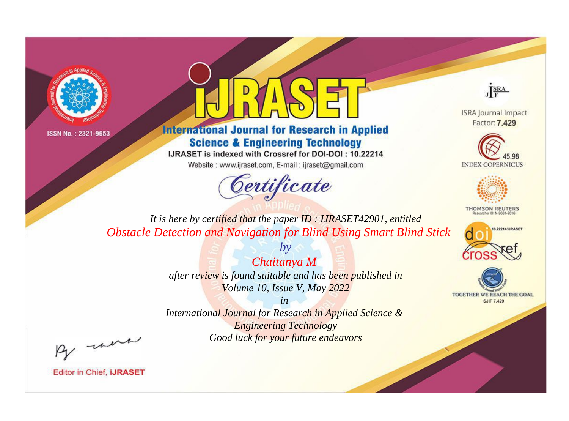



**International Journal for Research in Applied Science & Engineering Technology** 

IJRASET is indexed with Crossref for DOI-DOI: 10.22214

Website: www.ijraset.com, E-mail: ijraset@gmail.com



JERA

**ISRA Journal Impact** Factor: 7.429





**THOMSON REUTERS** 



TOGETHER WE REACH THE GOAL **SJIF 7.429** 

*It is here by certified that the paper ID : IJRASET42901, entitled Obstacle Detection and Navigation for Blind Using Smart Blind Stick*

> *Chaitanya M after review is found suitable and has been published in Volume 10, Issue V, May 2022*

*by*

*in* 

*International Journal for Research in Applied Science & Engineering Technology Good luck for your future endeavors*

By morn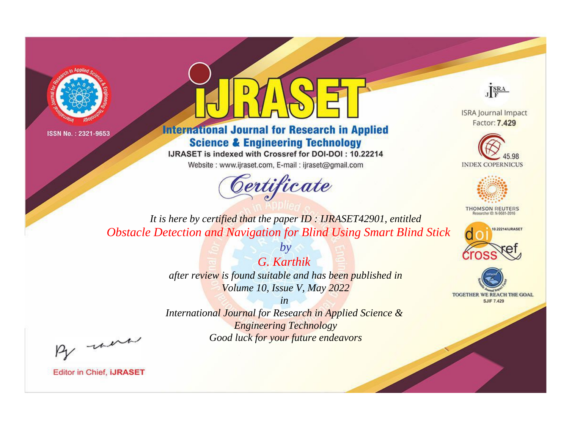



**International Journal for Research in Applied Science & Engineering Technology** 

IJRASET is indexed with Crossref for DOI-DOI: 10.22214

Website: www.ijraset.com, E-mail: ijraset@gmail.com



JERA

**ISRA Journal Impact** Factor: 7.429





**THOMSON REUTERS** 



TOGETHER WE REACH THE GOAL **SJIF 7.429** 

*It is here by certified that the paper ID : IJRASET42901, entitled Obstacle Detection and Navigation for Blind Using Smart Blind Stick*

> *G. Karthik after review is found suitable and has been published in Volume 10, Issue V, May 2022*

*by*

*in* 

*International Journal for Research in Applied Science & Engineering Technology Good luck for your future endeavors*

By morn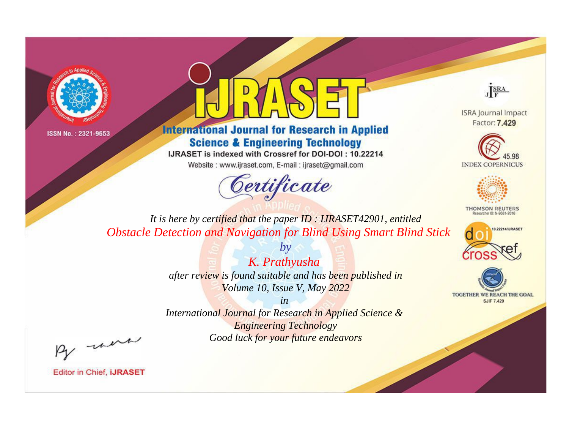



**International Journal for Research in Applied Science & Engineering Technology** 

IJRASET is indexed with Crossref for DOI-DOI: 10.22214

Website: www.ijraset.com, E-mail: ijraset@gmail.com



JERA

**ISRA Journal Impact** Factor: 7.429





**THOMSON REUTERS** 



TOGETHER WE REACH THE GOAL **SJIF 7.429** 

*It is here by certified that the paper ID : IJRASET42901, entitled Obstacle Detection and Navigation for Blind Using Smart Blind Stick*

> *K. Prathyusha after review is found suitable and has been published in Volume 10, Issue V, May 2022*

*by*

*in* 

*International Journal for Research in Applied Science & Engineering Technology Good luck for your future endeavors*

By morn